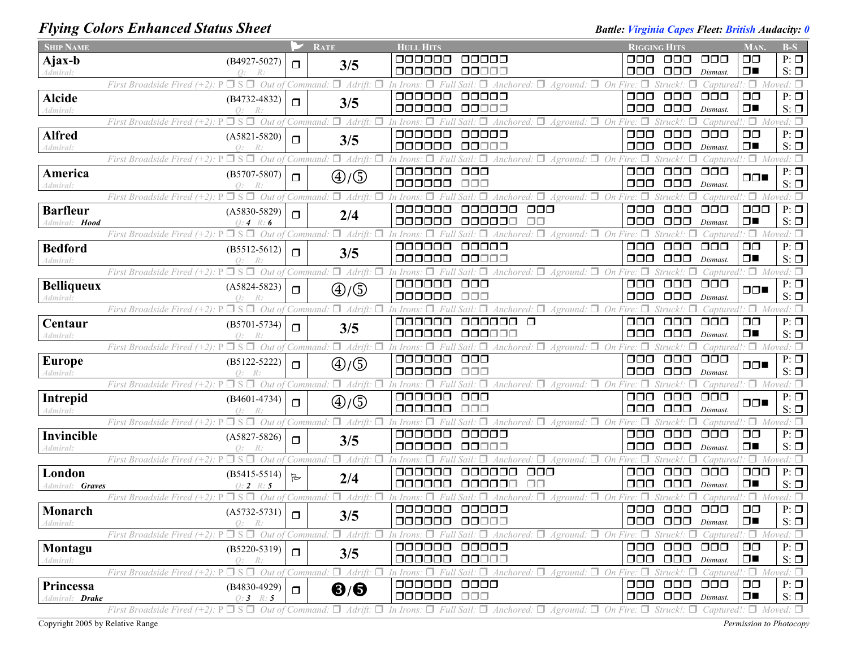## *Flying Colors Enhanced Status Sheet* **Battle:** *Battle: Virginia Capes Fleet: British Audacity: 0*

| <b>SHIP NAME</b>       |                                                                   |              | <b>RATE</b>                        | <b>HULL HITS</b>                                                                                                                                                                                                         | <b>RIGGING HITS</b>            |                                                         |                                  | MAN.                        | $B-S$                             |
|------------------------|-------------------------------------------------------------------|--------------|------------------------------------|--------------------------------------------------------------------------------------------------------------------------------------------------------------------------------------------------------------------------|--------------------------------|---------------------------------------------------------|----------------------------------|-----------------------------|-----------------------------------|
| Ajax-b                 | $(B4927-5027)$                                                    | $\Box$       | 3/5                                | 000000<br>00000                                                                                                                                                                                                          | □□□                            | 000                                                     | $\Box$ $\Box$                    | $\Box$ $\Box$               | $P: \Box$                         |
| Admiral:               | $Q$ :<br>R:                                                       |              |                                    | 000000<br><b>OO</b> OO                                                                                                                                                                                                   | 000                            | $\Box$ $\Box$                                           | Dismast.                         | $\Box$                      | $S: \Box$                         |
|                        | Out of<br>$S \Box$<br>First Broadside Fired                       |              | Adrift:<br>п.<br>Command           | п<br>Anchored: $\Box$<br>In Irons<br>Aground:                                                                                                                                                                            | On Fire: $\Box$                |                                                         | Captured!                        | $\Box$ Moved: $\Box$        |                                   |
| <b>Alcide</b>          | $(B4732 - 4832)$<br>Q:                                            | $\Box$       | 3/5                                | 000000<br>00000<br>000000<br>00000                                                                                                                                                                                       | $\Box$ $\Box$<br>$\Box$ $\Box$ | $\Box \Box \Box$<br>000                                 | $\Box$ $\Box$ $\Box$<br>Dismast. | $\square$<br>$\Box$         | $P: \overline{a}$<br>$S: \Box$    |
| Admiral:               | Out of<br>First Broadside Fired                                   |              | Adrift:<br>Command                 | On<br>Aground:<br>Anchored.                                                                                                                                                                                              |                                |                                                         | captured!                        | $\Box$ Moved: $\Box$        |                                   |
| <b>Alfred</b>          | $(A5821 - 5820)$                                                  |              |                                    | 000000<br>00000                                                                                                                                                                                                          | 000                            | $\Box \Box \Box$                                        | $\Box$ $\Box$                    | $\Box$ $\Box$               | $P: \Box$                         |
| Admiral:               | $Q$ :<br>R:                                                       | $\Box$       | 3/5                                | 000000<br>00000                                                                                                                                                                                                          | OOO                            | $\Box$ $\Box$                                           | Dismast.                         | $\Box$                      | $S: \Box$                         |
|                        | $\Box$ S $\Box$<br>Out of<br>First Broadside Fired $(+2)$ :       |              | Adrift:<br>П.<br>Command           | $\Box$ On<br>Anchored:<br>Aground:                                                                                                                                                                                       |                                | Struck!                                                 | captured!                        | $\Box$ Moved: $\Box$        |                                   |
| America                | $(B5707 - 5807)$                                                  | $\Box$       | $\textcircled{4}/\textcircled{5}$  | 000000<br>$\Box$ $\Box$                                                                                                                                                                                                  | $\Box$ $\Box$                  | $\Box$ $\Box$                                           | $\Box$ $\Box$                    | $\Box \Box$                 | $P: \Box$                         |
| Admiral:               | $\Omega$ :                                                        |              |                                    | 000000<br>$\Box \Box \Box$                                                                                                                                                                                               | 000                            | $\Box$ $\Box$                                           | Dismast.                         |                             | $S: \Box$                         |
|                        | $\Box$ S $\Box$<br>Out of<br>First Broadside Fired $(+2)$ :       |              | $\Box$ Adrift:<br>Command.         | п<br>On<br>Aground:<br>Anchored:                                                                                                                                                                                         |                                |                                                         | 'aptured!                        | П.                          | red: $\Box$                       |
| <b>Barfleur</b>        | $(A5830-5829)$                                                    | $\Box$       | 2/4                                | 000000<br>000000<br>$\square \square \square$<br>000000<br>000000<br>$\Box$ Box                                                                                                                                          | $\Box \Box \Box$<br>000        | $\Box$ $\Box$<br>$\Box$ $\Box$                          | $\Box$ $\Box$ $\Box$<br>Dismast. | $\Box \Box \Box$<br>$\Box$  | $P: \Box$<br>$S: \Box$            |
| Admiral: <b>Hood</b>   | 0:4 R:6<br>Out<br>First Broadside Fired<br>$\Box$ S               |              | Adrift:<br>Command                 | Aground: $\Box$ On                                                                                                                                                                                                       |                                |                                                         | 'aptured                         | $\Box$                      | oved: $\Box$                      |
| <b>Bedford</b>         | $(B5512 - 5612)$                                                  |              |                                    | 000000<br>00000                                                                                                                                                                                                          | $\Box \Box \Box$               | $\Box$ $\Box$                                           | $\Box$ $\Box$                    | $\Box$ Box                  | $P: \Box$                         |
| Admiral:               | $\Omega$ :                                                        | $\Box$       | 3/5                                | 000000<br>00000                                                                                                                                                                                                          | 000                            | $\Box$ $\Box$                                           | Dismast.                         | $\Box$                      | $S: \Box$                         |
|                        | Out of<br>First Broadside Fired                                   |              | Adrift:<br>Command                 | On<br>Anchored:<br>Aground:                                                                                                                                                                                              |                                |                                                         | `antui                           | $\Box$                      | Moved: $\Box$                     |
| <b>Belliqueux</b>      | $(A5824-5823)$                                                    | $\Box$       | $\textcircled{4}/\textcircled{5}$  | 000000<br>$\Box \Box \Box$                                                                                                                                                                                               | $\Box$ $\Box$                  | $\Box \Box \Box$                                        | $\Box$ $\Box$ $\Box$             | $\Box \Box$                 | $P: \Box$                         |
| Admiral:               |                                                                   |              |                                    | 000000<br>ooo                                                                                                                                                                                                            | 000                            | $\Box$ $\Box$                                           | Dismast.                         |                             | $S: \Box$                         |
|                        | Out of<br>First Broadside Fired (+2).<br>∃ S                      |              | $\Box$ Adrift:<br>Command          | $Aground:$ $\Box$ On Fire.<br>Anchored: $\Box$                                                                                                                                                                           |                                |                                                         | Captured!                        | $\Box$ Moved: $\Box$        |                                   |
| Centaur                | $(B5701 - 5734)$                                                  | $\Box$       | 3/5                                | 000000<br>000000 0<br>000000<br>000000                                                                                                                                                                                   | $\Box$ $\Box$<br>000           | $\Box\Box\Box$<br>$\Box$ $\Box$                         | $\Box$ $\Box$<br>Dismast.        | $\Box$ $\Box$<br>$\Box$     | $P: \overline{a}$<br>$S: \Box$    |
| Admiral:               | $\Box$ S $\Box$<br>Out of<br>First Broadside Fired $(+2)$ .       |              | $\Box$ Adrift:<br>Command.         | Anchored: $\Box$ Aground: $\Box$ On Fire: $\Box$<br>$Sail: \Box$<br>In Irons                                                                                                                                             |                                | Struck!:<br>п                                           | Captured!:                       | $\Box$ Moved: $\Box$        |                                   |
| <b>Europe</b>          | $(B5122 - 5222)$                                                  |              |                                    | 000000<br>$\Box \Box \Box$                                                                                                                                                                                               | $\Box$ $\Box$                  | $\Box$ $\Box$                                           | $\Box$ $\Box$ $\Box$             |                             | $P: \Box$                         |
| Admiral:               | $\bigcirc$ :                                                      | $\Box$       | $\textcircled{4}/\textcircled{5}$  | 000000<br>$\Box \Box \Box$                                                                                                                                                                                               | $\Box$ $\Box$                  | $\Box$ $\Box$                                           | Dismast.                         | $\Box \Box$                 | $S: \Box$                         |
|                        | $\square$ S $\square$<br>Out of<br>First Broadside Fired $(+2)$ : |              | $\Box$ Adrift:<br>Command.         | Anchored: $\Box$ Aground: $\Box$<br>On<br>In Irons<br>$\Box$                                                                                                                                                             |                                | Struck!.                                                | aptured!                         | $\Box$ Moved: $\Box$        |                                   |
| <b>Intrepid</b>        | $(B4601-4734)$                                                    | $\Box$       | $\textcircled{4}/\textcircled{5}$  | 000000<br>$\Box$ $\Box$                                                                                                                                                                                                  | $\Box$ $\Box$                  | $\Box \Box \Box$                                        | $\Box$ $\Box$ $\Box$             | $\Box \Box$                 | $P: \overline{\Box}$              |
| Admiral:               | Q:                                                                |              |                                    | 000000<br>ooo                                                                                                                                                                                                            | $\Box \Box \Box$               | $\Box \Box \Box$                                        | Dismast.                         |                             | $S: \Box$                         |
|                        | $\Box$ S $\Box$<br>First Broadside Fired $(+2)$ :<br>Out of       |              | $\Box$ Adrift:<br>Command.         | Anchored: $\Box$ Aground: $\Box$ On<br>000000<br>00000                                                                                                                                                                   | $\Box$ $\Box$                  | $\Box \Box \Box$                                        | aptured!<br>$\Box$ $\Box$        | $\Box$ $\Box$               | $\Box$ Moved: $\Box$<br>$P: \Box$ |
| Invincible<br>Admiral: | $(A5827-5826)$<br>Q:                                              | $\Box$       | 3/5                                | 000000<br>00000                                                                                                                                                                                                          | $\Box$ $\Box$                  | $\Box$ $\Box$ $\Box$                                    | Dismast.                         | $\Box$                      | $S: \Box$                         |
|                        | Out of<br>First Broadside Fired $(+2)$ : P<br>$\Box$ S            |              | Adrift: $\square$<br>п<br>Command: | Aground: $\Box$<br>On                                                                                                                                                                                                    |                                | Struck!:                                                | Canture                          | п.                          | ved: $\Box$                       |
| London                 | $(B5415 - 5514)$                                                  | $\mathbb{R}$ |                                    | 000000<br>$\Box$ $\Box$<br>000000                                                                                                                                                                                        | $\Box \Box \Box$               | $\Box$ $\Box$                                           | $\Box$ $\Box$ $\Box$             | $\Box$ $\Box$               | $P: \Box$                         |
| Admiral: Graves        | $0: 2 \; R: 5$                                                    |              | 2/4                                | 000000<br>000000<br>$\Box\Box$                                                                                                                                                                                           | 000                            | $\Box$ $\Box$ $\Box$                                    | Dismast.                         | $\Box$                      | $S: \Box$                         |
|                        | First Broadside Fired (+2).<br>Out                                |              | π.<br>Adrift: $\Box$<br>Command    | $\forall$ Anchored: $\Box$<br>$A$ ground: $\Box$ On                                                                                                                                                                      | Fire:                          |                                                         | 'apturec                         | Π.                          | Moved: $\Box$                     |
| Monarch                | $(A5732 - 5731)$                                                  | $\Box$       | 3/5                                | 000000<br>00000                                                                                                                                                                                                          | $\Box$ $\Box$                  | $\Box$ $\Box$                                           | $\Box$ $\Box$                    | $\Box$ Box                  | $P: \Box$                         |
| Admiral:               | $O$ :<br>R:                                                       |              |                                    | 000000 00000                                                                                                                                                                                                             |                                | $\Box$ $\Box$ $\Box$ $\Box$ $Dismast$ .                 |                                  | $\square$<br>$\blacksquare$ | $S: \Box$                         |
|                        | First Broadside Fired $(+2)$ : $P \Box S \Box$ Out of Command:    |              | $\Box$ Adrift: $\Box$              | In Irons: $\Box$ Full Sail: $\Box$ Anchored: $\Box$ Aground: $\Box$ On Fire: $\Box$ Struck!: $\Box$ Captured!: $\Box$ Moved: $\Box$<br>000000 00000                                                                      |                                | 000 000 000                                             |                                  | $\Box$ $\Box$               | $P: \Box$                         |
| Montagu<br>Admiral:    | $(B5220-5319)$<br>$R$ :                                           | $\Box$       | 3/5                                | 000000 00000                                                                                                                                                                                                             |                                | $\Box$ $\Box$ $\Box$ $\Box$ $\Box$ $\Box$ $\Box$ $\Box$ |                                  | $\Box$                      | $S: \Box$                         |
|                        |                                                                   |              |                                    | First Broadside Fired (+2): $P \Box S \Box$ Out of Command: $\Box$ Adrift: $\Box$ In Irons: $\Box$ Full Sail: $\Box$ Anchored: $\Box$ Aground: $\Box$ On Fire: $\Box$ Struck!: $\Box$ Captured!: $\Box$ Moved: $\Box$    |                                |                                                         |                                  |                             |                                   |
| Princessa              | $(B4830-4929)$                                                    | $\Box$       |                                    | 000000 0000                                                                                                                                                                                                              |                                | 000 000 000                                             |                                  | $\Box$ $\Box$               | $P: \Box$                         |
| Admiral: <b>Drake</b>  | $0:3 \t R:5$                                                      |              | $\mathbf{G}/\mathbf{G}$            | 000000 000                                                                                                                                                                                                               |                                | $\Box$ $\Box$ $\Box$ $\Box$ $\Box$ $\Box$ $\Box$ $\Box$ |                                  | $\Box$                      | $S: \Box$                         |
|                        |                                                                   |              |                                    | First Broadside Fired $(+2)$ : $P \Box S \Box$ Out of Command: $\Box$ Adrift: $\Box$ In Irons: $\Box$ Full Sail: $\Box$ Anchored: $\Box$ Aground: $\Box$ On Fire: $\Box$ Struck!: $\Box$ Captured!: $\Box$ Moved: $\Box$ |                                |                                                         |                                  |                             |                                   |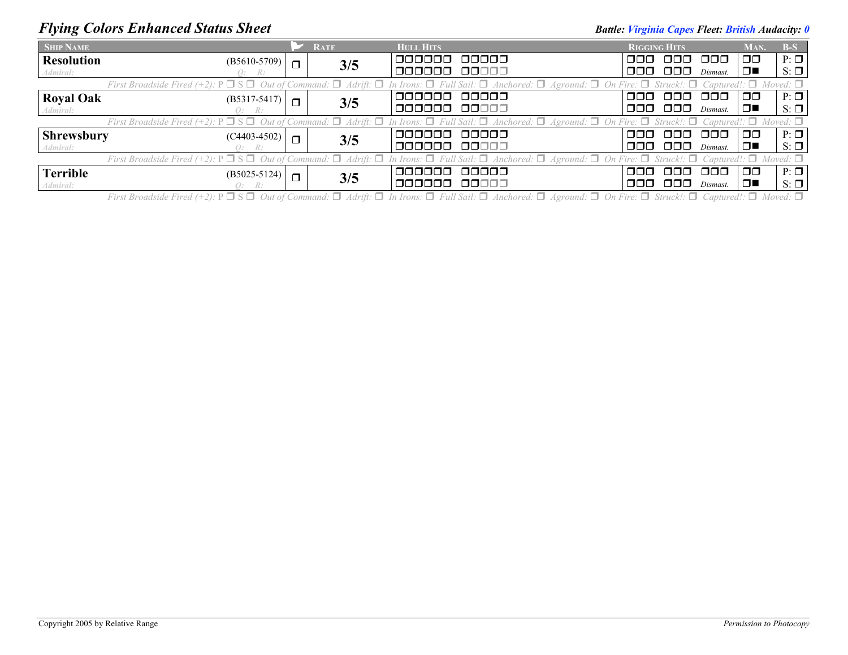## *Flying Colors Enhanced Status Sheet* **Battle:** *Battle: Virginia Capes Fleet: British Audacity: 0*

| <b>SHIP NAME</b>                                                                                                                                                                                                      |                                                                                                                                                                                                                       |                | <b>RATE</b> | <b>HULL HITS</b> | <b>RIGGING HITS</b> |             |                                                                | MAN.          | $B-S$     |  |  |
|-----------------------------------------------------------------------------------------------------------------------------------------------------------------------------------------------------------------------|-----------------------------------------------------------------------------------------------------------------------------------------------------------------------------------------------------------------------|----------------|-------------|------------------|---------------------|-------------|----------------------------------------------------------------|---------------|-----------|--|--|
| <b>Resolution</b>                                                                                                                                                                                                     | $(B5610-5709)$                                                                                                                                                                                                        | $\blacksquare$ |             | 000000<br>00000  | nnn.                | 000 000     |                                                                | $\Box$        | $P: \Box$ |  |  |
| Admiral:                                                                                                                                                                                                              | O: R:                                                                                                                                                                                                                 |                | 3/5         | 000000 00000     |                     | 000 000     | Dismast.                                                       | $\Box$        | $S: \Box$ |  |  |
| First Broadside Fired (+2): $P \Box S \Box$ Out of Command: $\Box$ Adrift: $\Box$ In Irons: $\Box$ Full Sail: $\Box$ Anchored: $\Box$ Aground: $\Box$ On Fire: $\Box$ Struck!: $\Box$ Captured!: $\Box$ Moved: $\Box$ |                                                                                                                                                                                                                       |                |             |                  |                     |             |                                                                |               |           |  |  |
| <b>Royal Oak</b>                                                                                                                                                                                                      | $(B5317-5417)$                                                                                                                                                                                                        | $\Box$         | 3/5         | 000000 00000     | OOO .               | 000 000     |                                                                | $\Box$ $\Box$ | $P: \Box$ |  |  |
| Admiral:                                                                                                                                                                                                              | Q: R:                                                                                                                                                                                                                 |                |             | 000000 00000     |                     |             |                                                                | $\Box$        | $S: \Box$ |  |  |
|                                                                                                                                                                                                                       | First Broadside Fired (+2): $P \Box S \Box$ Out of Command: $\Box$ Adrift: $\Box$ In Irons: $\Box$ Full Sail: $\Box$ Anchored: $\Box$ Aground: $\Box$ On Fire: $\Box$ Struck!: $\Box$ Captured!: $\Box$ Moved: $\Box$ |                |             |                  |                     |             |                                                                |               |           |  |  |
| <b>Shrewsbury</b>                                                                                                                                                                                                     | $(C4403 - 4502)$                                                                                                                                                                                                      | $\Box$         | 3/5         | 000000 00000     |                     | 000 000 000 |                                                                | $\Box$ $\Box$ | $P: \Box$ |  |  |
| Admiral:                                                                                                                                                                                                              | Q: R:                                                                                                                                                                                                                 |                |             | 000000 00000     |                     | 000 000     | Dismast.                                                       | ▎□■           | $S: \Box$ |  |  |
| First Broadside Fired (+2): $P \Box S \Box$ Out of Command: $\Box$ Adrift: $\Box$ In Irons: $\Box$ Full Sail: $\Box$ Anchored: $\Box$ Aground: $\Box$ On Fire: $\Box$ Struck!: $\Box$ Captured!: $\Box$ Moved: $\Box$ |                                                                                                                                                                                                                       |                |             |                  |                     |             |                                                                |               |           |  |  |
| <b>Terrible</b>                                                                                                                                                                                                       | $(B5025-5124)$                                                                                                                                                                                                        | $\blacksquare$ | 3/5         | 00000<br>000000  | ooo k               | ooo ooo     |                                                                | $\Box$ $\Box$ | $P: \Box$ |  |  |
| Admiral:                                                                                                                                                                                                              | Q: R:                                                                                                                                                                                                                 |                |             | 000000 00000     |                     |             | $\Box$ $\Box$ $\Box$ $\Box$ $\Box$ $\Box$ $\Box$ $\Box$ $\Box$ | $\Box$        | $S: \Box$ |  |  |

First Broadside Fired (+2):  $P \Box S \Box$  Out of Command:  $\Box$  Adrift:  $\Box$  In Irons:  $\Box$  Full Sail:  $\Box$  Anchored:  $\Box$  Aground:  $\Box$  On Fire:  $\Box$  Struck!:  $\Box$  Captured!:  $\Box$  Moved:  $\Box$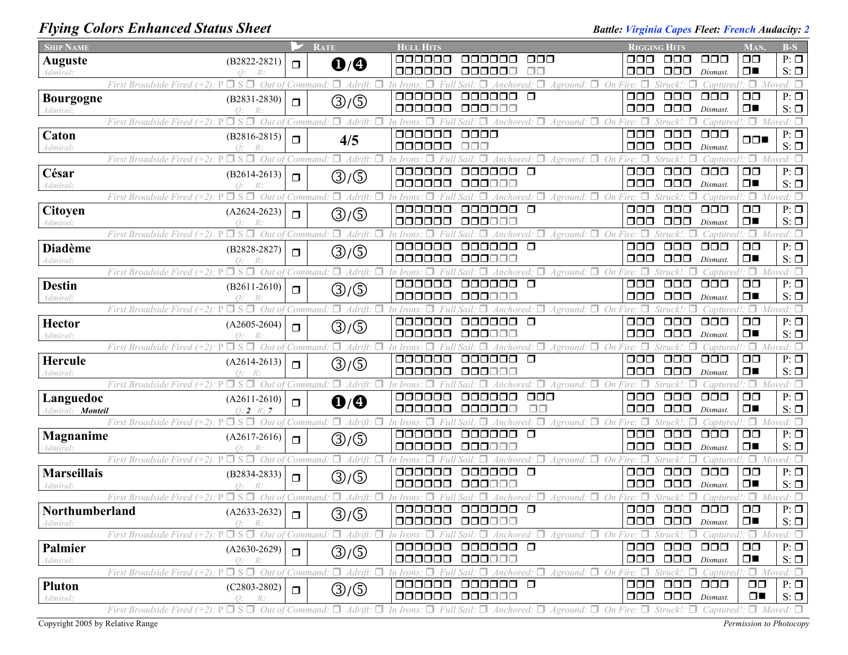## *Flying Colors Enhanced Status Sheet Battle: Virginia Capes Fleet: French Audacity: 2**Battle: Virginia Capes Fleet: French Audacity: 2*

| <b>SHIP NAME</b>               |                                                                                                                                                                                                                       |        | <b>RATE</b>                              | <b>HULL HITS</b>        |                                                                                                                                     | <b>RIGGING HITS</b>               |                                                                                 |                                  | MAN.                    | $B-S$                  |
|--------------------------------|-----------------------------------------------------------------------------------------------------------------------------------------------------------------------------------------------------------------------|--------|------------------------------------------|-------------------------|-------------------------------------------------------------------------------------------------------------------------------------|-----------------------------------|---------------------------------------------------------------------------------|----------------------------------|-------------------------|------------------------|
| <b>Auguste</b><br>Admiral:     | $(B2822 - 2821)$                                                                                                                                                                                                      | $\Box$ | $\mathbf{0}/\mathbf{0}$                  | 000000<br>000000        | $\Box$ $\Box$<br>000000<br>$\Box\Box$<br>000000                                                                                     | ooo<br>000                        | 000<br>$\Box$ $\Box$                                                            | 000<br>Dismast.                  | $\Box$ $\Box$<br>$\Box$ | $P: \Box$<br>$S: \Box$ |
|                                | Out of<br>First Broadside Fired (+2).                                                                                                                                                                                 |        | $\Box$ Adrift.<br>П<br>Command:          | In Irons:               | $\Box$ On Fire: $\Box$<br>4ground:                                                                                                  |                                   |                                                                                 | Captured!: $\Box$                |                         | Moved: $\square$       |
| <b>Bourgogne</b><br>Admiral:   | $(B2831 - 2830)$<br>$Q$ :<br>R:                                                                                                                                                                                       | $\Box$ | $\textcircled{3}/\textcircled{5}$        | 000000<br>000000        | 000000<br>$\Box$<br>000000                                                                                                          | $\Box$ $\Box$<br>$\Box \Box \Box$ | $\Box$ $\Box$<br>$\Box$ $\Box$                                                  | $\Box$ $\Box$<br>Dismast.        | $\Box$<br>$\Box$        | $P: \Box$<br>$S: \Box$ |
|                                | First Broadside Fired (+2).<br>Out of                                                                                                                                                                                 |        | $\Box$ Adrift.<br>Command:               |                         | п<br>Anchored: $\Box$<br>Aground:<br>On                                                                                             | Fire: $\Box$                      |                                                                                 | 'aptured!                        | $\Box$ Moved: $\Box$    |                        |
| Caton<br>Admiral:              | $(B2816 - 2815)$<br>$O$ :<br>R:                                                                                                                                                                                       | $\Box$ | 4/5                                      | 000000<br>000000        | 0000<br>$\Box$ $\Box$ $\Box$                                                                                                        | $\Box$ $\Box$<br>$\Box$ $\Box$    | $\Box$ $\Box$<br>$\Box\Box\Box$                                                 | $\Box$ $\Box$ $\Box$<br>Dismast. | $\Box$                  | $P: \Box$<br>$S: \Box$ |
|                                | $S \Box$<br>Out of<br>First Broadside Fired (+2)                                                                                                                                                                      |        | $\Box$<br>Adrift.<br>'Command:           | In Irons                | п.<br>$\Box$<br>On<br>Anchored:<br>Aground:                                                                                         | Fire: $\Box$                      |                                                                                 | aptured!                         |                         | $\Box$ Moved: $\Box$   |
| César<br>Admiral:              | $(B2614-2613)$<br>$Q$ :<br>R:                                                                                                                                                                                         | $\Box$ | $\textcircled{3}/\textcircled{5}$        | 0000000<br>000000       | 000000<br>$\Box$<br>000000                                                                                                          | $\Box$ $\Box$<br>000              | $\Box$ $\Box$<br>$\Box$ $\Box$                                                  | $\Box$ $\Box$ $\Box$<br>Dismast. | $\square$<br>$\Box$     | $P: \Box$<br>$S: \Box$ |
|                                | $\Box$<br>$\Box$ S<br>Out of<br>First Broadside Fired (+2)                                                                                                                                                            |        | $\Box$ Adrift.<br>Command.               |                         | On<br>Aground:                                                                                                                      | Fire: $\Box$                      |                                                                                 | 'aptured!                        | $\Box$                  | Moved: $\square$       |
| Citoyen<br>Admiral:            | $(A2624-2623)$<br>$\bigcap$ :                                                                                                                                                                                         | $\Box$ | $\textcircled{3}/\textcircled{5}$        | 000000<br>000000        | $\Box$<br>nnnnn<br>000000                                                                                                           | $\Box$ $\Box$<br>$\Box$ $\Box$    | $\Box \Box \Box$<br>$\Box$ $\Box$                                               | 000<br>Dismast.                  | $\Box$ $\Box$<br>$\Box$ | $P: \Box$<br>$S: \Box$ |
|                                | $\square$ S $\square$<br>Out of<br>First Broadside Fired $(+2)$ : P                                                                                                                                                   |        | $\Box$ Adrift:<br>Command:               |                         | $Aground: \Box On$                                                                                                                  | Fire: $\Box$                      |                                                                                 | `aptured.                        | Π.                      | ved: □                 |
| <b>Diadème</b><br>Admiral:     | $(B2828-2827)$                                                                                                                                                                                                        | $\Box$ | ③/⑤                                      | 000000<br>000000        | 000000 0<br>000000                                                                                                                  | $\Box$ $\Box$<br>000              | $\Box$ $\Box$<br>$\Box$ $\Box$                                                  | $\Box$ $\Box$<br>Dismast.        | $\Box$ $\Box$<br>$\Box$ | $P: \Box$<br>$S: \Box$ |
|                                | $\square$ s $\square$<br>Out of<br>First Broadside Fired (+2):                                                                                                                                                        |        | $\Box$ Adrift.<br>П<br>'Command          | n Irons                 | Anothered:<br>$Aground:$ $\Box$ On Fire: $\Box$                                                                                     |                                   | Struck!:                                                                        | Captured!                        | $\Box$                  | Moved: $\Box$          |
| <b>Destin</b><br>Admiral:      | $(B2611-2610)$<br>$\theta$ :                                                                                                                                                                                          | $\Box$ | ③/⑤                                      | 000000<br>000000        | 000000<br>$\Box$<br>000000                                                                                                          | $\Box$ $\Box$<br>000              | $\Box \Box \Box$<br>$\Box$ $\Box$ $\Box$                                        | $\Box$ $\Box$<br>Dismast.        | $\Box$ $\Box$<br>$\Box$ | $P: \Box$<br>$S: \Box$ |
|                                | $\Box$ S<br>П<br>Out of<br>First Broadside Fired (+2).                                                                                                                                                                |        | $\Box$<br>Adrift.<br>'Command:           |                         | $Aground:$ $\Box$ On<br>Anchored: $\Box$                                                                                            | Fire: $\Box$                      | Struck!:                                                                        | Captured!                        | $\Box$                  | Moved: $\Box$          |
| <b>Hector</b><br>Admiral:      | $(A2605-2604)$<br>Q:                                                                                                                                                                                                  | $\Box$ | ③/⑤                                      | 000000<br>000000        | 000000<br>$\Box$<br>000000                                                                                                          | $\Box$ $\Box$<br>$\Box \Box \Box$ | $\Box$ $\Box$<br>$\Box$ $\Box$                                                  | 000<br>Dismast.                  | $\square$<br>$\Box$     | $P: \Box$<br>$S: \Box$ |
|                                | First Broadside Fired (+2).<br>Out of                                                                                                                                                                                 |        | $\overline{\Box}$<br>Adrift.<br>Command: | In Irons                | $\forall$ Anchored: $\Box$<br>$Aground:$ $\Box$ On Fire: $\Box$                                                                     |                                   | Struck!                                                                         | aptured!:                        | ٠O.                     | Moved: $\square$       |
| Hercule<br>Admiral:            | $(A2614-2613)$<br>R:<br>Q:                                                                                                                                                                                            | $\Box$ | ③/⑤                                      | 000000<br>000000        | 000000 0<br>000000                                                                                                                  | $\Box$ $\Box$<br>$\Box$ $\Box$    | $\Box$ $\Box$<br>$\Box$ $\Box$                                                  | $\Box$ $\Box$<br>Dismast.        | $\Box$ $\Box$<br>$\Box$ | $P: \Box$<br>$S: \Box$ |
|                                | First Broadside Fired $(+2)$ :<br>Out of                                                                                                                                                                              |        | $\Box$ Adrift:<br>Command:               | П<br>In Irons           | Anchored: $\Box$<br>$Aground:$ $\Box$ On Fire: $\Box$                                                                               |                                   | Struck!:<br>п                                                                   | Captured!                        | ٠O.                     | Moved: $\square$       |
| Languedoc<br>Admiral: Monteil  | $(A2611-2610)$<br>$0:2 \; R:7$                                                                                                                                                                                        | $\Box$ | $\mathbf{0}/\mathbf{0}$                  | 000000<br>000000        | $\Box$ $\Box$<br>000000<br>$\Box$<br>000000                                                                                         | $\Box$ $\Box$<br>$\Box$ $\Box$    | $\Box$ $\Box$<br>$\Box$ $\Box$                                                  | $\Box$ $\Box$ $\Box$<br>Dismast. | $\square$<br>$\Box$     | $P: \Box$<br>$S: \Box$ |
|                                | $P \Box S \Box$<br>Out of<br>First Broadside Fired $(+2)$ :                                                                                                                                                           |        | $\Box$ Adrift:<br>'Command:              | n Irons                 | $\Box$<br>$A$ ground: $\Box$ On Fire: $\Box$<br>Anchored:                                                                           |                                   | Struck!.                                                                        | Captured!                        | $\Box$                  | Moved: $\square$       |
| Magnanime<br>Admiral:          | $(A2617-2616)$<br>Q:<br>R.                                                                                                                                                                                            | $\Box$ | ③/⑤                                      | 000000<br>000000        | 000000<br>$\Box$<br>000000                                                                                                          | $\Box$ $\Box$<br>$\Box \Box \Box$ | $\Box$ $\Box$<br>$\Box$ $\Box$                                                  | $\Box$ $\Box$<br>Dismast.        | $\Box$ $\Box$<br>$\Box$ | $P: \Box$<br>$S: \Box$ |
|                                | First Broadside Fired (+2): P<br>$\Box$ S<br>Out                                                                                                                                                                      |        | $\Box$ Adrift:<br>Command                |                         | $Aground: \Box On$                                                                                                                  | Fire: $\Box$                      |                                                                                 | `aptured.                        | $\Box$                  |                        |
| <b>Marseillais</b><br>Admiral: | $(B2834-2833)$<br>Q:                                                                                                                                                                                                  | $\Box$ | ③/⑤                                      | 000000<br>000000        | 000000 0<br>000000                                                                                                                  | $\Box$ $\Box$<br>$\Box$ $\Box$    | $\Box$ $\Box$<br>$\Box$ $\Box$                                                  | $\Box$ $\Box$<br>Dismast.        | $\Box$ $\Box$<br>$\Box$ | $P: \Box$<br>$S: \Box$ |
|                                | First Broadside Fired $(+2)$ : P                                                                                                                                                                                      |        | Command: $\Box$<br>Adrift:               |                         | hored: $\Box$<br>$A$ ground: $\Box$ On Fire:                                                                                        |                                   |                                                                                 | 'anture                          | $\Box$                  | Moved: $\square$       |
| Northumberland<br>Admiral:     | $(A2633-2632)$<br>Q: R:                                                                                                                                                                                               | $\Box$ | (3/5)                                    | 000000<br>000000 000000 | 000000 0                                                                                                                            | $\Box$ $\Box$                     | $\Box$ $\Box$<br>$\Box$ $\Box$ $\Box$ $\Box$ $\Box$ $\Box$ $\Box$ $\Box$ $\Box$ | $\Box$ $\Box$ $\Box$             | $\Box$<br>□■            | $P: \Box$<br>$S: \Box$ |
|                                | First Broadside Fired (+2): $P \Box S \Box$ Out of Command: $\Box$ Adrift: $\Box$                                                                                                                                     |        |                                          |                         | In Irons: $\Box$ Full Sail: $\Box$ Anchored: $\Box$ Aground: $\Box$ On Fire: $\Box$ Struck!: $\Box$ Captured!: $\Box$ Moved: $\Box$ |                                   |                                                                                 |                                  |                         |                        |
| Palmier<br>Admiral:            | $(A2630-2629)$<br>R:<br>O: .                                                                                                                                                                                          | $\Box$ | ③/⑤                                      | 000000<br>000000 000000 | 000000 0                                                                                                                            |                                   | 000 000 000<br>$\Box$ $\Box$ $\Box$ $\Box$ $Dismast$ .                          |                                  | $\Box$ $\Box$<br>$\Box$ | $P: \Box$<br>$S: \Box$ |
|                                | First Broadside Fired $(+2)$ : $P \Box S \Box$ Out of                                                                                                                                                                 |        | Command: $\Box$ Adrift: $\Box$           |                         | In Irons: $\Box$ Full Sail: $\Box$ Anchored: $\Box$ Aground: $\Box$ On Fire: $\Box$ Struck!: $\Box$ Captured!: $\Box$ Moved: $\Box$ |                                   |                                                                                 |                                  |                         |                        |
| Pluton<br>Admiral:             | $(C2803 - 2802)$<br>$Q$ :                                                                                                                                                                                             | $\Box$ | ③/⑤                                      | 000000 000000           | 000000 000000 0                                                                                                                     |                                   | 000 000 000<br>$\Box$ $\Box$ $\Box$ $\Box$ $Dismast$ .                          |                                  | $\Box$<br>$\Box$        | $P: \Box$<br>$S: \Box$ |
|                                | First Broadside Fired (+2): $P \Box S \Box$ Out of Command: $\Box$ Adrift: $\Box$ In Irons: $\Box$ Full Sail: $\Box$ Anchored: $\Box$ Aground: $\Box$ On Fire: $\Box$ Struck!: $\Box$ Captured!: $\Box$ Moved: $\Box$ |        |                                          |                         |                                                                                                                                     |                                   |                                                                                 |                                  |                         |                        |